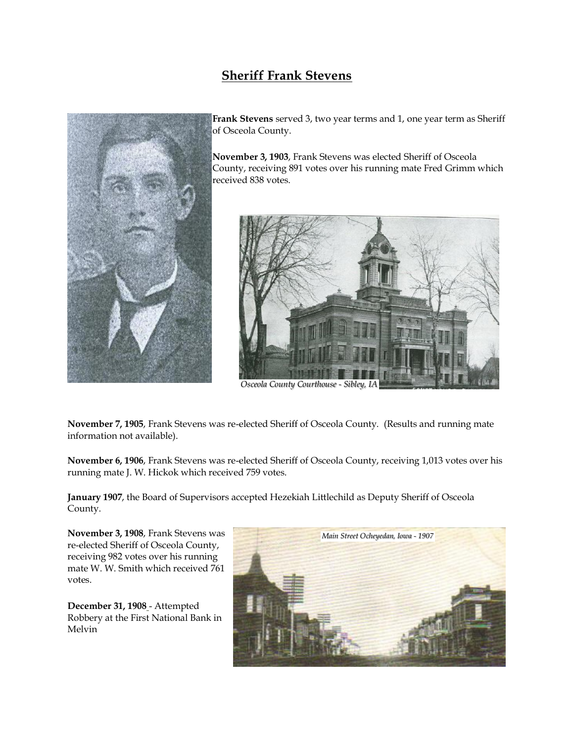## **Sheriff Frank Stevens**



**Frank Stevens** served 3, two year terms and 1, one year term as Sheriff of Osceola County.

**November 3, 1903**, Frank Stevens was elected Sheriff of Osceola County, receiving 891 votes over his running mate Fred Grimm which received 838 votes.



*Osceola County Courthouse - Sibley, IA*

**November 7, 1905**, Frank Stevens was re-elected Sheriff of Osceola County. (Results and running mate information not available).

**November 6, 1906**, Frank Stevens was re-elected Sheriff of Osceola County, receiving 1,013 votes over his running mate J. W. Hickok which received 759 votes.

**January 1907**, the Board of Supervisors accepted Hezekiah Littlechild as Deputy Sheriff of Osceola County.

**November 3, 1908**, Frank Stevens was re-elected Sheriff of Osceola County, receiving 982 votes over his running mate W. W. Smith which received 761 votes.

**December 31, 1908** - Attempted Robbery at the First National Bank in Melvin